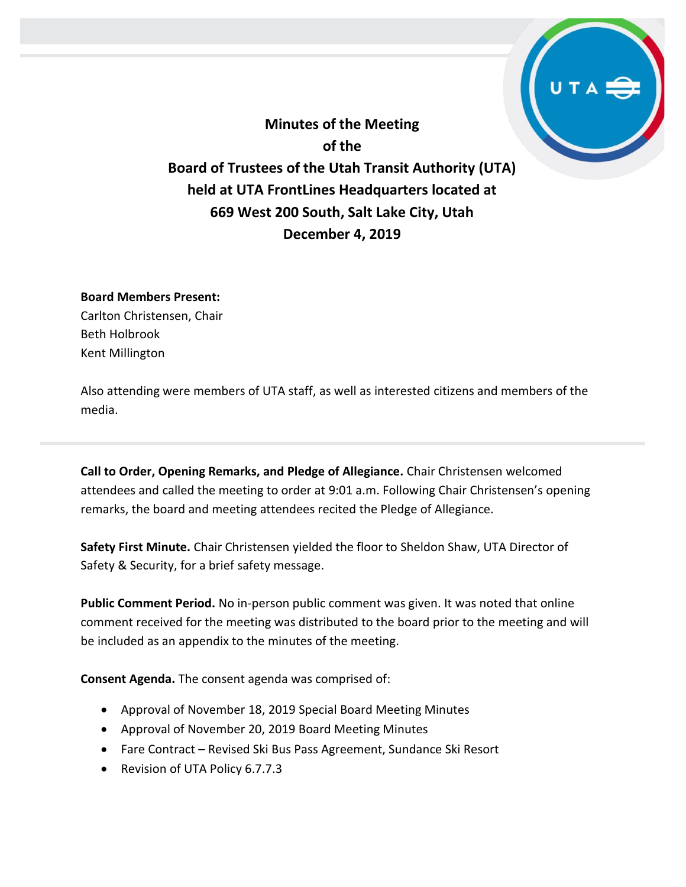**Minutes of the Meeting of the Board of Trustees of the Utah Transit Authority (UTA) held at UTA FrontLines Headquarters located at 669 West 200 South, Salt Lake City, Utah December 4, 2019**

### **Board Members Present:**

Carlton Christensen, Chair Beth Holbrook Kent Millington

Also attending were members of UTA staff, as well as interested citizens and members of the media.

**Call to Order, Opening Remarks, and Pledge of Allegiance.** Chair Christensen welcomed attendees and called the meeting to order at 9:01 a.m. Following Chair Christensen's opening remarks, the board and meeting attendees recited the Pledge of Allegiance.

**Safety First Minute.** Chair Christensen yielded the floor to Sheldon Shaw, UTA Director of Safety & Security, for a brief safety message.

**Public Comment Period.** No in-person public comment was given. It was noted that online comment received for the meeting was distributed to the board prior to the meeting and will be included as an appendix to the minutes of the meeting.

**Consent Agenda.** The consent agenda was comprised of:

- Approval of November 18, 2019 Special Board Meeting Minutes
- Approval of November 20, 2019 Board Meeting Minutes
- Fare Contract Revised Ski Bus Pass Agreement, Sundance Ski Resort
- Revision of UTA Policy 6.7.7.3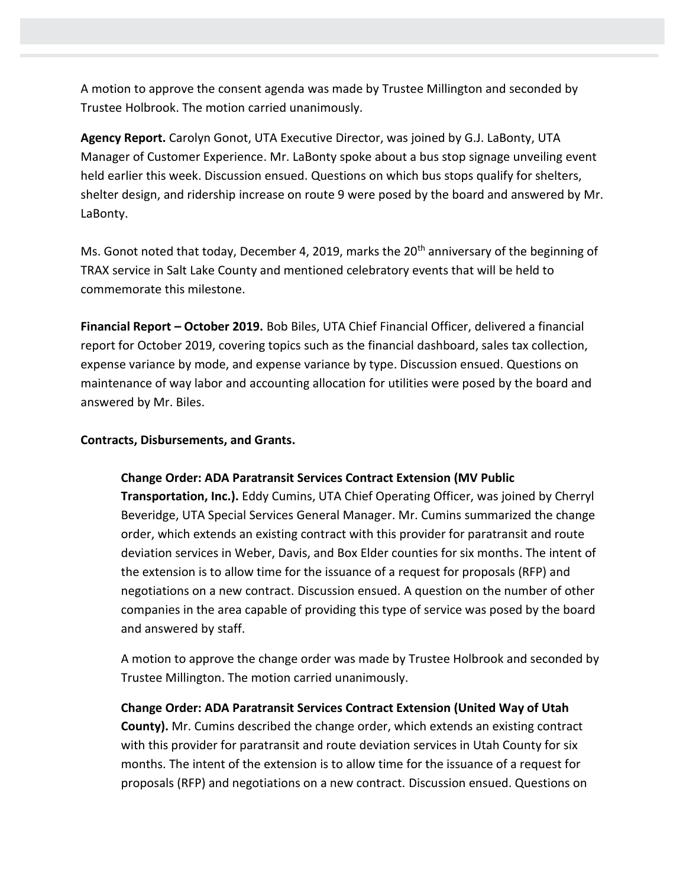A motion to approve the consent agenda was made by Trustee Millington and seconded by Trustee Holbrook. The motion carried unanimously.

**Agency Report.** Carolyn Gonot, UTA Executive Director, was joined by G.J. LaBonty, UTA Manager of Customer Experience. Mr. LaBonty spoke about a bus stop signage unveiling event held earlier this week. Discussion ensued. Questions on which bus stops qualify for shelters, shelter design, and ridership increase on route 9 were posed by the board and answered by Mr. LaBonty.

Ms. Gonot noted that today, December 4, 2019, marks the 20<sup>th</sup> anniversary of the beginning of TRAX service in Salt Lake County and mentioned celebratory events that will be held to commemorate this milestone.

**Financial Report – October 2019.** Bob Biles, UTA Chief Financial Officer, delivered a financial report for October 2019, covering topics such as the financial dashboard, sales tax collection, expense variance by mode, and expense variance by type. Discussion ensued. Questions on maintenance of way labor and accounting allocation for utilities were posed by the board and answered by Mr. Biles.

**Contracts, Disbursements, and Grants.**

## **Change Order: ADA Paratransit Services Contract Extension (MV Public**

**Transportation, Inc.).** Eddy Cumins, UTA Chief Operating Officer, was joined by Cherryl Beveridge, UTA Special Services General Manager. Mr. Cumins summarized the change order, which extends an existing contract with this provider for paratransit and route deviation services in Weber, Davis, and Box Elder counties for six months. The intent of the extension is to allow time for the issuance of a request for proposals (RFP) and negotiations on a new contract. Discussion ensued. A question on the number of other companies in the area capable of providing this type of service was posed by the board and answered by staff.

A motion to approve the change order was made by Trustee Holbrook and seconded by Trustee Millington. The motion carried unanimously.

**Change Order: ADA Paratransit Services Contract Extension (United Way of Utah County).** Mr. Cumins described the change order, which extends an existing contract with this provider for paratransit and route deviation services in Utah County for six months. The intent of the extension is to allow time for the issuance of a request for proposals (RFP) and negotiations on a new contract. Discussion ensued. Questions on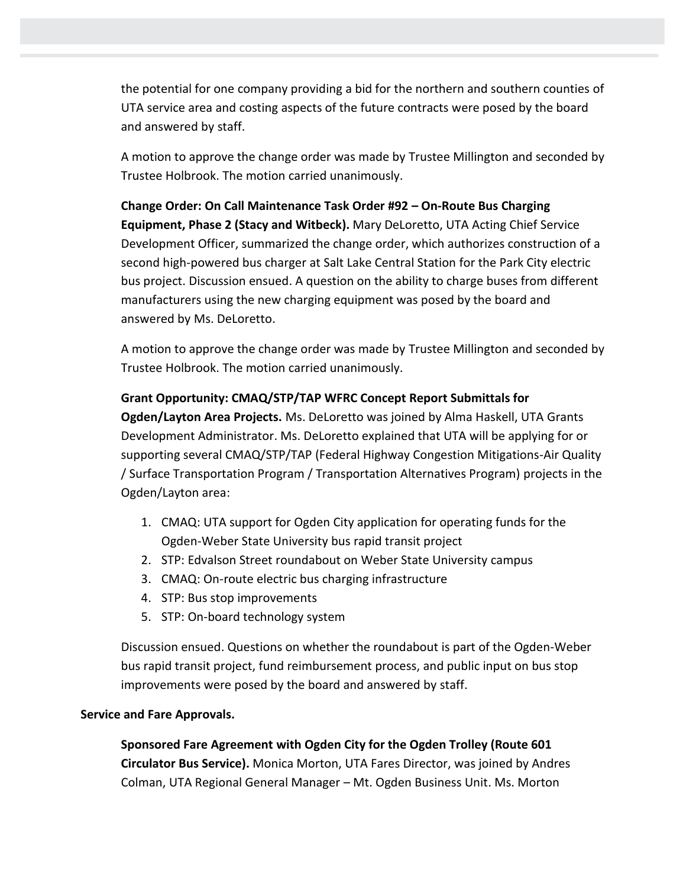the potential for one company providing a bid for the northern and southern counties of UTA service area and costing aspects of the future contracts were posed by the board and answered by staff.

A motion to approve the change order was made by Trustee Millington and seconded by Trustee Holbrook. The motion carried unanimously.

**Change Order: On Call Maintenance Task Order #92 – On-Route Bus Charging Equipment, Phase 2 (Stacy and Witbeck).** Mary DeLoretto, UTA Acting Chief Service Development Officer, summarized the change order, which authorizes construction of a second high-powered bus charger at Salt Lake Central Station for the Park City electric bus project. Discussion ensued. A question on the ability to charge buses from different manufacturers using the new charging equipment was posed by the board and answered by Ms. DeLoretto.

A motion to approve the change order was made by Trustee Millington and seconded by Trustee Holbrook. The motion carried unanimously.

# **Grant Opportunity: CMAQ/STP/TAP WFRC Concept Report Submittals for**

**Ogden/Layton Area Projects.** Ms. DeLoretto was joined by Alma Haskell, UTA Grants Development Administrator. Ms. DeLoretto explained that UTA will be applying for or supporting several CMAQ/STP/TAP (Federal Highway Congestion Mitigations-Air Quality / Surface Transportation Program / Transportation Alternatives Program) projects in the Ogden/Layton area:

- 1. CMAQ: UTA support for Ogden City application for operating funds for the Ogden-Weber State University bus rapid transit project
- 2. STP: Edvalson Street roundabout on Weber State University campus
- 3. CMAQ: On-route electric bus charging infrastructure
- 4. STP: Bus stop improvements
- 5. STP: On-board technology system

Discussion ensued. Questions on whether the roundabout is part of the Ogden-Weber bus rapid transit project, fund reimbursement process, and public input on bus stop improvements were posed by the board and answered by staff.

# **Service and Fare Approvals.**

**Sponsored Fare Agreement with Ogden City for the Ogden Trolley (Route 601 Circulator Bus Service).** Monica Morton, UTA Fares Director, was joined by Andres Colman, UTA Regional General Manager – Mt. Ogden Business Unit. Ms. Morton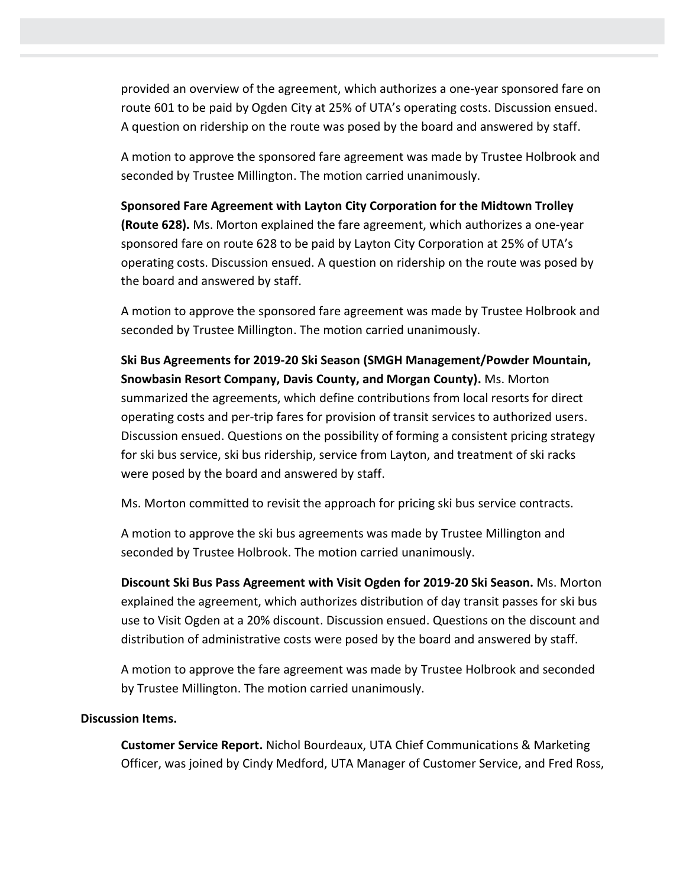provided an overview of the agreement, which authorizes a one-year sponsored fare on route 601 to be paid by Ogden City at 25% of UTA's operating costs. Discussion ensued. A question on ridership on the route was posed by the board and answered by staff.

A motion to approve the sponsored fare agreement was made by Trustee Holbrook and seconded by Trustee Millington. The motion carried unanimously.

**Sponsored Fare Agreement with Layton City Corporation for the Midtown Trolley (Route 628).** Ms. Morton explained the fare agreement, which authorizes a one-year sponsored fare on route 628 to be paid by Layton City Corporation at 25% of UTA's operating costs. Discussion ensued. A question on ridership on the route was posed by the board and answered by staff.

A motion to approve the sponsored fare agreement was made by Trustee Holbrook and seconded by Trustee Millington. The motion carried unanimously.

**Ski Bus Agreements for 2019-20 Ski Season (SMGH Management/Powder Mountain, Snowbasin Resort Company, Davis County, and Morgan County).** Ms. Morton summarized the agreements, which define contributions from local resorts for direct operating costs and per-trip fares for provision of transit services to authorized users. Discussion ensued. Questions on the possibility of forming a consistent pricing strategy for ski bus service, ski bus ridership, service from Layton, and treatment of ski racks were posed by the board and answered by staff.

Ms. Morton committed to revisit the approach for pricing ski bus service contracts.

A motion to approve the ski bus agreements was made by Trustee Millington and seconded by Trustee Holbrook. The motion carried unanimously.

**Discount Ski Bus Pass Agreement with Visit Ogden for 2019-20 Ski Season.** Ms. Morton explained the agreement, which authorizes distribution of day transit passes for ski bus use to Visit Ogden at a 20% discount. Discussion ensued. Questions on the discount and distribution of administrative costs were posed by the board and answered by staff.

A motion to approve the fare agreement was made by Trustee Holbrook and seconded by Trustee Millington. The motion carried unanimously.

## **Discussion Items.**

**Customer Service Report.** Nichol Bourdeaux, UTA Chief Communications & Marketing Officer, was joined by Cindy Medford, UTA Manager of Customer Service, and Fred Ross,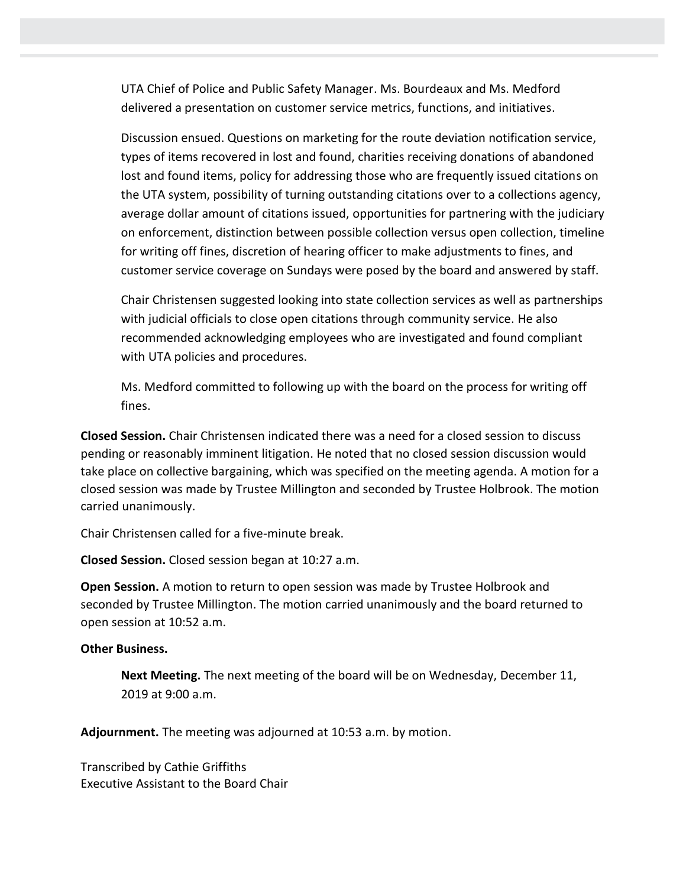UTA Chief of Police and Public Safety Manager. Ms. Bourdeaux and Ms. Medford delivered a presentation on customer service metrics, functions, and initiatives.

Discussion ensued. Questions on marketing for the route deviation notification service, types of items recovered in lost and found, charities receiving donations of abandoned lost and found items, policy for addressing those who are frequently issued citations on the UTA system, possibility of turning outstanding citations over to a collections agency, average dollar amount of citations issued, opportunities for partnering with the judiciary on enforcement, distinction between possible collection versus open collection, timeline for writing off fines, discretion of hearing officer to make adjustments to fines, and customer service coverage on Sundays were posed by the board and answered by staff.

Chair Christensen suggested looking into state collection services as well as partnerships with judicial officials to close open citations through community service. He also recommended acknowledging employees who are investigated and found compliant with UTA policies and procedures.

Ms. Medford committed to following up with the board on the process for writing off fines.

**Closed Session.** Chair Christensen indicated there was a need for a closed session to discuss pending or reasonably imminent litigation. He noted that no closed session discussion would take place on collective bargaining, which was specified on the meeting agenda. A motion for a closed session was made by Trustee Millington and seconded by Trustee Holbrook. The motion carried unanimously.

Chair Christensen called for a five-minute break.

**Closed Session.** Closed session began at 10:27 a.m.

**Open Session.** A motion to return to open session was made by Trustee Holbrook and seconded by Trustee Millington. The motion carried unanimously and the board returned to open session at 10:52 a.m.

### **Other Business.**

**Next Meeting.** The next meeting of the board will be on Wednesday, December 11, 2019 at 9:00 a.m.

**Adjournment.** The meeting was adjourned at 10:53 a.m. by motion.

Transcribed by Cathie Griffiths Executive Assistant to the Board Chair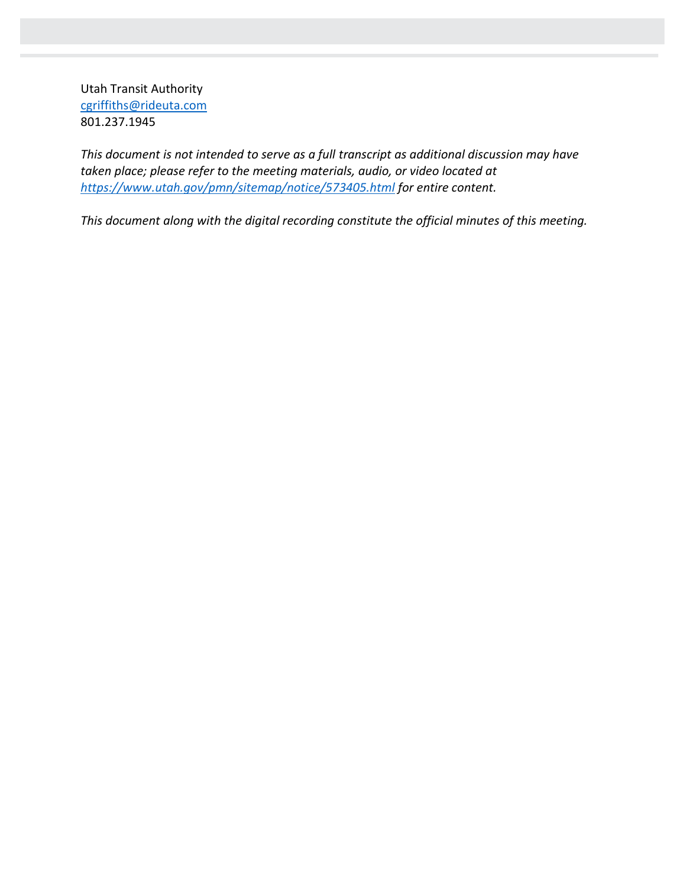Utah Transit Authority [cgriffiths@rideuta.com](mailto:cgriffiths@rideuta.com) 801.237.1945

*This document is not intended to serve as a full transcript as additional discussion may have taken place; please refer to the meeting materials, audio, or video located at <https://www.utah.gov/pmn/sitemap/notice/573405.html> for entire content.*

*This document along with the digital recording constitute the official minutes of this meeting.*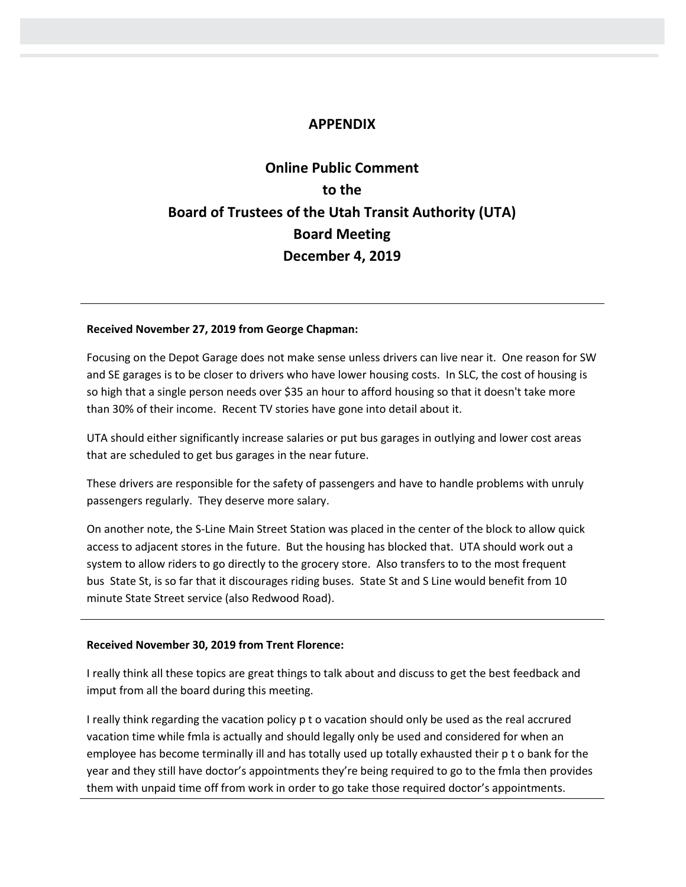# **APPENDIX**

# **Online Public Comment to the Board of Trustees of the Utah Transit Authority (UTA) Board Meeting December 4, 2019**

#### **Received November 27, 2019 from George Chapman:**

Focusing on the Depot Garage does not make sense unless drivers can live near it. One reason for SW and SE garages is to be closer to drivers who have lower housing costs. In SLC, the cost of housing is so high that a single person needs over \$35 an hour to afford housing so that it doesn't take more than 30% of their income. Recent TV stories have gone into detail about it.

UTA should either significantly increase salaries or put bus garages in outlying and lower cost areas that are scheduled to get bus garages in the near future.

These drivers are responsible for the safety of passengers and have to handle problems with unruly passengers regularly. They deserve more salary.

On another note, the S-Line Main Street Station was placed in the center of the block to allow quick access to adjacent stores in the future. But the housing has blocked that. UTA should work out a system to allow riders to go directly to the grocery store. Also transfers to to the most frequent bus State St, is so far that it discourages riding buses. State St and S Line would benefit from 10 minute State Street service (also Redwood Road).

#### **Received November 30, 2019 from Trent Florence:**

I really think all these topics are great things to talk about and discuss to get the best feedback and imput from all the board during this meeting.

I really think regarding the vacation policy p t o vacation should only be used as the real accrured vacation time while fmla is actually and should legally only be used and considered for when an employee has become terminally ill and has totally used up totally exhausted their p t o bank for the year and they still have doctor's appointments they're being required to go to the fmla then provides them with unpaid time off from work in order to go take those required doctor's appointments.